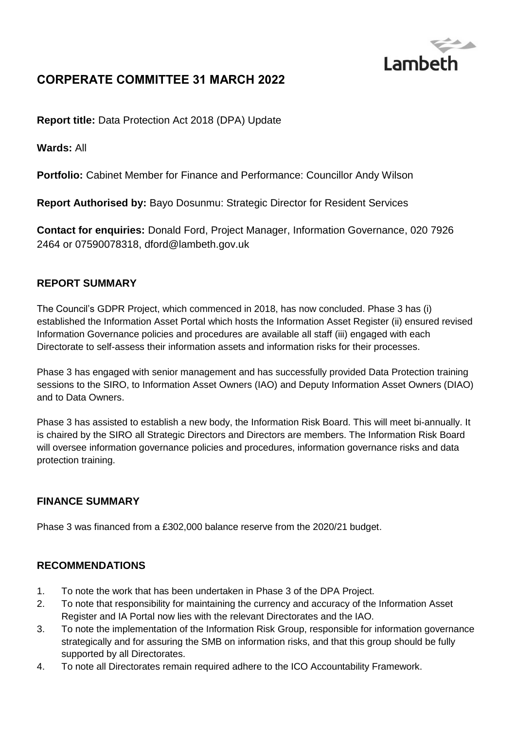

# **CORPERATE COMMITTEE 31 MARCH 2022**

**Report title:** Data Protection Act 2018 (DPA) Update

**Wards:** All

**Portfolio:** Cabinet Member for Finance and Performance: Councillor Andy Wilson

**Report Authorised by:** Bayo Dosunmu: Strategic Director for Resident Services

**Contact for enquiries:** Donald Ford, Project Manager, Information Governance, 020 7926 2464 or 07590078318, dfor[d@lambeth.gov.uk](mailto:someofficer@lambeth.gov.uk)

#### **REPORT SUMMARY**

The Council's GDPR Project, which commenced in 2018, has now concluded. Phase 3 has (i) established the Information Asset Portal which hosts the Information Asset Register (ii) ensured revised Information Governance policies and procedures are available all staff (iii) engaged with each Directorate to self-assess their information assets and information risks for their processes.

Phase 3 has engaged with senior management and has successfully provided Data Protection training sessions to the SIRO, to Information Asset Owners (IAO) and Deputy Information Asset Owners (DIAO) and to Data Owners.

Phase 3 has assisted to establish a new body, the Information Risk Board. This will meet bi-annually. It is chaired by the SIRO all Strategic Directors and Directors are members. The Information Risk Board will oversee information governance policies and procedures, information governance risks and data protection training.

### **FINANCE SUMMARY**

Phase 3 was financed from a £302,000 balance reserve from the 2020/21 budget.

#### **RECOMMENDATIONS**

- 1. To note the work that has been undertaken in Phase 3 of the DPA Project.
- 2. To note that responsibility for maintaining the currency and accuracy of the Information Asset Register and IA Portal now lies with the relevant Directorates and the IAO.
- 3. To note the implementation of the Information Risk Group, responsible for information governance strategically and for assuring the SMB on information risks, and that this group should be fully supported by all Directorates.
- 4. To note all Directorates remain required adhere to the ICO Accountability Framework.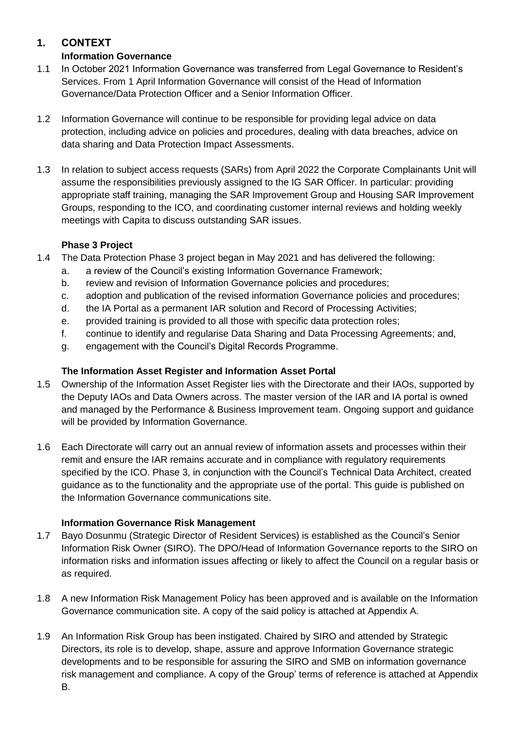## **1. CONTEXT**

### **Information Governance**

- 1.1 In October 2021 Information Governance was transferred from Legal Governance to Resident's Services. From 1 April Information Governance will consist of the Head of Information Governance/Data Protection Officer and a Senior Information Officer.
- 1.2 Information Governance will continue to be responsible for providing legal advice on data protection, including advice on policies and procedures, dealing with data breaches, advice on data sharing and Data Protection Impact Assessments.
- 1.3 In relation to subject access requests (SARs) from April 2022 the Corporate Complainants Unit will assume the responsibilities previously assigned to the IG SAR Officer. In particular: providing appropriate staff training, managing the SAR Improvement Group and Housing SAR Improvement Groups, responding to the ICO, and coordinating customer internal reviews and holding weekly meetings with Capita to discuss outstanding SAR issues.

### **Phase 3 Project**

- 1.4 The Data Protection Phase 3 project began in May 2021 and has delivered the following:
	- a. a review of the Council's existing Information Governance Framework;
	- b. review and revision of Information Governance policies and procedures;
	- c. adoption and publication of the revised information Governance policies and procedures;
	- d. the IA Portal as a permanent IAR solution and Record of Processing Activities;
	- e. provided training is provided to all those with specific data protection roles;
	- f. continue to identify and regularise Data Sharing and Data Processing Agreements; and,
	- g. engagement with the Council's Digital Records Programme.

## **The Information Asset Register and Information Asset Portal**

- 1.5 Ownership of the Information Asset Register lies with the Directorate and their IAOs, supported by the Deputy IAOs and Data Owners across. The master version of the IAR and IA portal is owned and managed by the Performance & Business Improvement team. Ongoing support and guidance will be provided by Information Governance.
- 1.6 Each Directorate will carry out an annual review of information assets and processes within their remit and ensure the IAR remains accurate and in compliance with regulatory requirements specified by the ICO. Phase 3, in conjunction with the Council's Technical Data Architect, created guidance as to the functionality and the appropriate use of the portal. This guide is published on the Information Governance communications site.

### **Information Governance Risk Management**

- 1.7 Bayo Dosunmu (Strategic Director of Resident Services) is established as the Council's Senior Information Risk Owner (SIRO). The DPO/Head of Information Governance reports to the SIRO on information risks and information issues affecting or likely to affect the Council on a regular basis or as required.
- 1.8 A new Information Risk Management Policy has been approved and is available on the Information Governance communication site. A copy of the said policy is attached at Appendix A.
- 1.9 An Information Risk Group has been instigated. Chaired by SIRO and attended by Strategic Directors, its role is to develop, shape, assure and approve Information Governance strategic developments and to be responsible for assuring the SIRO and SMB on information governance risk management and compliance. A copy of the Group' terms of reference is attached at Appendix B.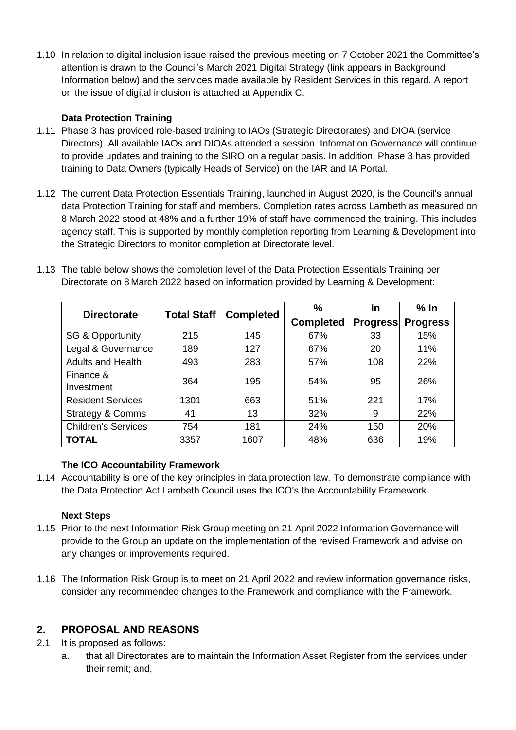1.10 In relation to digital inclusion issue raised the previous meeting on 7 October 2021 the Committee's attention is drawn to the Council's March 2021 Digital Strategy (link appears in Background Information below) and the services made available by Resident Services in this regard. A report on the issue of digital inclusion is attached at Appendix C.

### **Data Protection Training**

- 1.11 Phase 3 has provided role-based training to IAOs (Strategic Directorates) and DIOA (service Directors). All available IAOs and DIOAs attended a session. Information Governance will continue to provide updates and training to the SIRO on a regular basis. In addition, Phase 3 has provided training to Data Owners (typically Heads of Service) on the IAR and IA Portal.
- 1.12 The current Data Protection Essentials Training, launched in August 2020, is the Council's annual data Protection Training for staff and members. Completion rates across Lambeth as measured on 8 March 2022 stood at 48% and a further 19% of staff have commenced the training. This includes agency staff. This is supported by monthly completion reporting from Learning & Development into the Strategic Directors to monitor completion at Directorate level.
- 1.13 The table below shows the completion level of the Data Protection Essentials Training per Directorate on 8 March 2022 based on information provided by Learning & Development:

| <b>Directorate</b>          | <b>Total Staff</b> | <b>Completed</b> | $\frac{0}{0}$    | In              | $%$ In          |
|-----------------------------|--------------------|------------------|------------------|-----------------|-----------------|
|                             |                    |                  | <b>Completed</b> | <b>Progress</b> | <b>Progress</b> |
| <b>SG &amp; Opportunity</b> | 215                | 145              | 67%              | 33              | 15%             |
| Legal & Governance          | 189                | 127              | 67%              | 20              | 11%             |
| <b>Adults and Health</b>    | 493                | 283              | 57%              | 108             | 22%             |
| Finance &                   | 364                | 195              | 54%              | 95              | 26%             |
| Investment                  |                    |                  |                  |                 |                 |
| <b>Resident Services</b>    | 1301               | 663              | 51%              | 221             | 17%             |
| <b>Strategy &amp; Comms</b> | 41                 | 13               | 32%              | 9               | 22%             |
| <b>Children's Services</b>  | 754                | 181              | 24%              | 150             | 20%             |
| <b>TOTAL</b>                | 3357               | 1607             | 48%              | 636             | 19%             |

#### **The ICO Accountability Framework**

1.14 Accountability is one of the key principles in data protection law. To demonstrate compliance with the Data Protection Act Lambeth Council uses the ICO's the Accountability Framework.

#### **Next Steps**

- 1.15 Prior to the next Information Risk Group meeting on 21 April 2022 Information Governance will provide to the Group an update on the implementation of the revised Framework and advise on any changes or improvements required.
- 1.16 The Information Risk Group is to meet on 21 April 2022 and review information governance risks, consider any recommended changes to the Framework and compliance with the Framework.

### **2. PROPOSAL AND REASONS**

- 2.1 It is proposed as follows:
	- a. that all Directorates are to maintain the Information Asset Register from the services under their remit; and,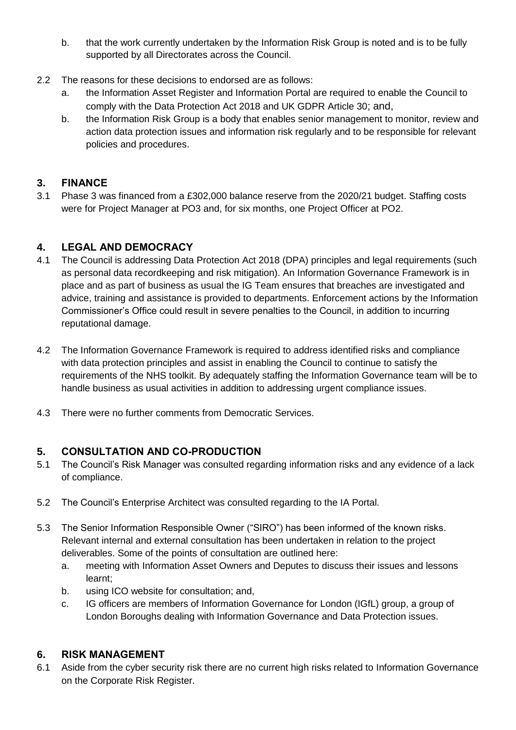- b. that the work currently undertaken by the Information Risk Group is noted and is to be fully supported by all Directorates across the Council.
- 2.2 The reasons for these decisions to endorsed are as follows:
	- a. the Information Asset Register and Information Portal are required to enable the Council to comply with the Data Protection Act 2018 and UK GDPR Article 30; and,
	- b. the Information Risk Group is a body that enables senior management to monitor, review and action data protection issues and information risk regularly and to be responsible for relevant policies and procedures.

### **3. FINANCE**

3.1 Phase 3 was financed from a £302,000 balance reserve from the 2020/21 budget. Staffing costs were for Project Manager at PO3 and, for six months, one Project Officer at PO2.

## **4. LEGAL AND DEMOCRACY**

- 4.1 The Council is addressing Data Protection Act 2018 (DPA) principles and legal requirements (such as personal data recordkeeping and risk mitigation). An Information Governance Framework is in place and as part of business as usual the IG Team ensures that breaches are investigated and advice, training and assistance is provided to departments. Enforcement actions by the Information Commissioner's Office could result in severe penalties to the Council, in addition to incurring reputational damage.
- 4.2 The Information Governance Framework is required to address identified risks and compliance with data protection principles and assist in enabling the Council to continue to satisfy the requirements of the NHS toolkit. By adequately staffing the Information Governance team will be to handle business as usual activities in addition to addressing urgent compliance issues.
- 4.3 There were no further comments from Democratic Services.

## **5. CONSULTATION AND CO-PRODUCTION**

- 5.1 The Council's Risk Manager was consulted regarding information risks and any evidence of a lack of compliance.
- 5.2 The Council's Enterprise Architect was consulted regarding to the IA Portal.
- 5.3 The Senior Information Responsible Owner ("SIRO") has been informed of the known risks. Relevant internal and external consultation has been undertaken in relation to the project deliverables. Some of the points of consultation are outlined here:
	- a. meeting with Information Asset Owners and Deputes to discuss their issues and lessons learnt;
	- b. using ICO website for consultation; and,
	- c. IG officers are members of Information Governance for London (IGfL) group, a group of London Boroughs dealing with Information Governance and Data Protection issues.

### **6. RISK MANAGEMENT**

6.1 Aside from the cyber security risk there are no current high risks related to Information Governance on the Corporate Risk Register.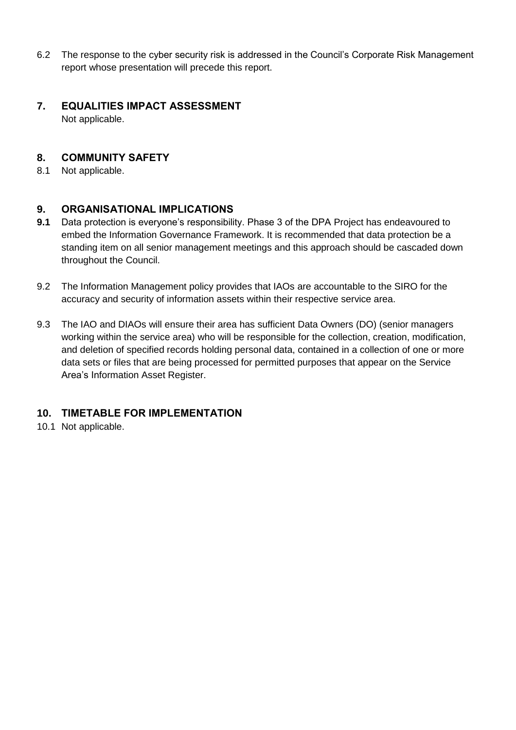- 6.2 The response to the cyber security risk is addressed in the Council's Corporate Risk Management report whose presentation will precede this report.
- **7. EQUALITIES IMPACT ASSESSMENT** Not applicable.

#### **8. COMMUNITY SAFETY**

8.1 Not applicable.

#### **9. ORGANISATIONAL IMPLICATIONS**

- **9.1** Data protection is everyone's responsibility. Phase 3 of the DPA Project has endeavoured to embed the Information Governance Framework. It is recommended that data protection be a standing item on all senior management meetings and this approach should be cascaded down throughout the Council.
- 9.2 The Information Management policy provides that IAOs are accountable to the SIRO for the accuracy and security of information assets within their respective service area.
- 9.3 The IAO and DIAOs will ensure their area has sufficient Data Owners (DO) (senior managers working within the service area) who will be responsible for the collection, creation, modification, and deletion of specified records holding personal data, contained in a collection of one or more data sets or files that are being processed for permitted purposes that appear on the Service Area's Information Asset Register.

#### **10. TIMETABLE FOR IMPLEMENTATION**

10.1 Not applicable.